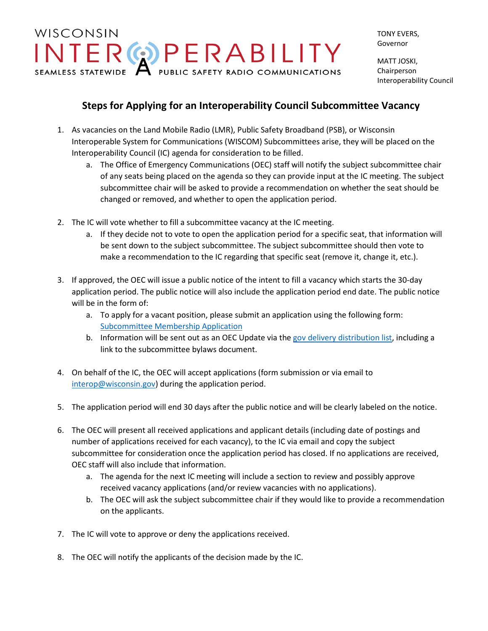## WISCONSIN INTERGOPERABILITY

TONY EVERS, Governor

MATT JOSKI, Chairperson Interoperability Council

## **Steps for Applying for an Interoperability Council Subcommittee Vacancy**

- 1. As vacancies on the Land Mobile Radio (LMR), Public Safety Broadband (PSB), or Wisconsin Interoperable System for Communications (WISCOM) Subcommittees arise, they will be placed on the Interoperability Council (IC) agenda for consideration to be filled.
	- a. The Office of Emergency Communications (OEC) staff will notify the subject subcommittee chair of any seats being placed on the agenda so they can provide input at the IC meeting. The subject subcommittee chair will be asked to provide a recommendation on whether the seat should be changed or removed, and whether to open the application period.
- 2. The IC will vote whether to fill a subcommittee vacancy at the IC meeting.
	- a. If they decide not to vote to open the application period for a specific seat, that information will be sent down to the subject subcommittee. The subject subcommittee should then vote to make a recommendation to the IC regarding that specific seat (remove it, change it, etc.).
- 3. If approved, the OEC will issue a public notice of the intent to fill a vacancy which starts the 30-day application period. The public notice will also include the application period end date. The public notice will be in the form of:
	- a. To apply for a vacant position, please submit an application using the following form: [Subcommittee Membership Application](https://docs.google.com/forms/d/e/1FAIpQLScS4RR_QJGaMnLwBZtQ9C7CDFh_YymJEsdj2CpAqbyrNZnGRg/viewform?usp=sf_link)
	- b. Information will be sent out as an OEC Update via the gov delivery [distribution list,](https://public.govdelivery.com/accounts/WIDMA/subscriber/new?category_id=WIDMA_C7) including a link to the subcommittee bylaws document.
- 4. On behalf of the IC, the OEC will accept applications (form submission or via email to [interop@wisconsin.gov\)](mailto:interop@wisconsin.gov) during the application period.
- 5. The application period will end 30 days after the public notice and will be clearly labeled on the notice.
- 6. The OEC will present all received applications and applicant details (including date of postings and number of applications received for each vacancy), to the IC via email and copy the subject subcommittee for consideration once the application period has closed. If no applications are received, OEC staff will also include that information.
	- a. The agenda for the next IC meeting will include a section to review and possibly approve received vacancy applications (and/or review vacancies with no applications).
	- b. The OEC will ask the subject subcommittee chair if they would like to provide a recommendation on the applicants.
- 7. The IC will vote to approve or deny the applications received.
- 8. The OEC will notify the applicants of the decision made by the IC.